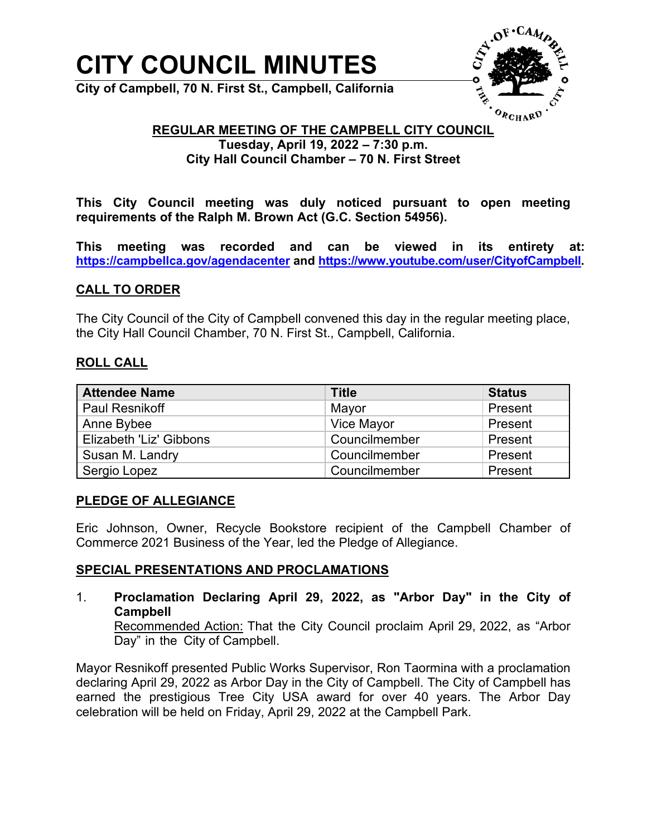# **CITY COUNCIL MINUTES**

**City of Campbell, 70 N. First St., Campbell, California**



# **REGULAR MEETING OF THE CAMPBELL CITY COUNCIL**

# **Tuesday, April 19, 2022 – 7:30 p.m. City Hall Council Chamber – 70 N. First Street**

**This City Council meeting was duly noticed pursuant to open meeting requirements of the Ralph M. Brown Act (G.C. Section 54956).**

**This meeting was recorded and can be viewed in its entirety at: <https://campbellca.gov/agendacenter> and [https://www.youtube.com/user/CityofCampbell.](https://www.youtube.com/user/CityofCampbell)** 

# **CALL TO ORDER**

The City Council of the City of Campbell convened this day in the regular meeting place, the City Hall Council Chamber, 70 N. First St., Campbell, California.

#### **ROLL CALL**

| <b>Attendee Name</b>    | <b>Title</b>  | <b>Status</b> |
|-------------------------|---------------|---------------|
| <b>Paul Resnikoff</b>   | Mayor         | Present       |
| Anne Bybee              | Vice Mayor    | Present       |
| Elizabeth 'Liz' Gibbons | Councilmember | Present       |
| Susan M. Landry         | Councilmember | Present       |
| Sergio Lopez            | Councilmember | Present       |

# **PLEDGE OF ALLEGIANCE**

Eric Johnson, Owner, Recycle Bookstore recipient of the Campbell Chamber of Commerce 2021 Business of the Year, led the Pledge of Allegiance.

# **SPECIAL PRESENTATIONS AND PROCLAMATIONS**

1. **Proclamation Declaring April 29, 2022, as "Arbor Day" in the City of Campbell** 

Recommended Action: That the City Council proclaim April 29, 2022, as "Arbor Day" in the City of Campbell.

Mayor Resnikoff presented Public Works Supervisor, Ron Taormina with a proclamation declaring April 29, 2022 as Arbor Day in the City of Campbell. The City of Campbell has earned the prestigious Tree City USA award for over 40 years. The Arbor Day celebration will be held on Friday, April 29, 2022 at the Campbell Park.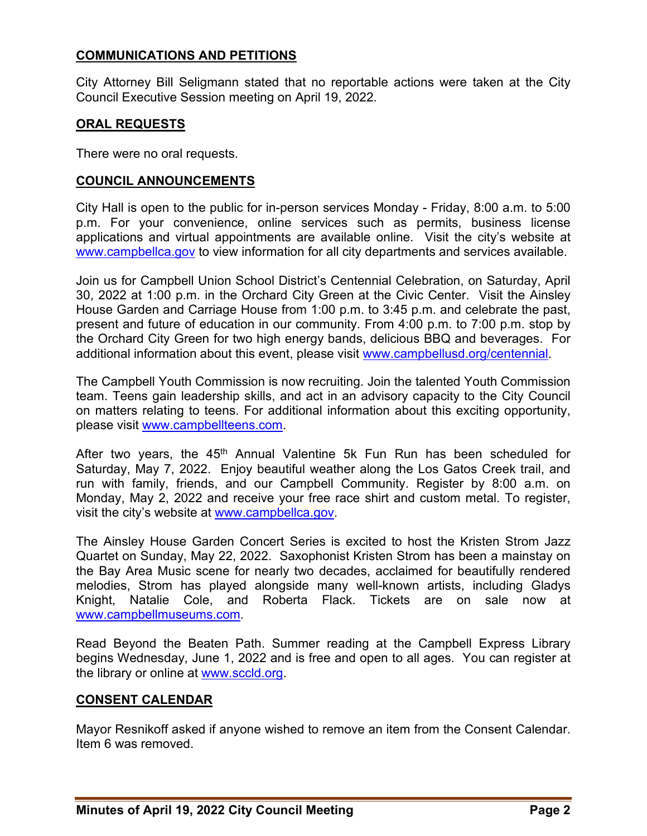# **COMMUNICATIONS AND PETITIONS**

City Attorney Bill Seligmann stated that no reportable actions were taken at the City Council Executive Session meeting on April 19, 2022.

# **ORAL REQUESTS**

There were no oral requests.

### **COUNCIL ANNOUNCEMENTS**

City Hall is open to the public for in-person services Monday - Friday, 8:00 a.m. to 5:00 p.m. For your convenience, online services such as permits, business license applications and virtual appointments are available online. Visit the city's website at [www.campbellca.gov](http://www.campbellca.gov/) to view information for all city departments and services available.

Join us for Campbell Union School District's Centennial Celebration, on Saturday, April 30, 2022 at 1:00 p.m. in the Orchard City Green at the Civic Center. Visit the Ainsley House Garden and Carriage House from 1:00 p.m. to 3:45 p.m. and celebrate the past, present and future of education in our community. From 4:00 p.m. to 7:00 p.m. stop by the Orchard City Green for two high energy bands, delicious BBQ and beverages. For additional information about this event, please visit [www.campbellusd.org/centennial.](http://www.campbellusd.org/centennial)

The Campbell Youth Commission is now recruiting. Join the talented Youth Commission team. Teens gain leadership skills, and act in an advisory capacity to the City Council on matters relating to teens. For additional information about this exciting opportunity, please visit [www.campbellteens.com.](http://www.campbellteens.com/)

After two years, the  $45<sup>th</sup>$  Annual Valentine 5k Fun Run has been scheduled for Saturday, May 7, 2022. Enjoy beautiful weather along the Los Gatos Creek trail, and run with family, friends, and our Campbell Community. Register by 8:00 a.m. on Monday, May 2, 2022 and receive your free race shirt and custom metal. To register, visit the city's website at [www.campbellca.gov.](http://www.campbellca.gov/)

The Ainsley House Garden Concert Series is excited to host the Kristen Strom Jazz Quartet on Sunday, May 22, 2022. Saxophonist Kristen Strom has been a mainstay on the Bay Area Music scene for nearly two decades, acclaimed for beautifully rendered melodies, Strom has played alongside many well-known artists, including Gladys Knight, Natalie Cole, and Roberta Flack. Tickets are on sale now at [www.campbellmuseums.com.](http://www.campbellmuseums.com/)

Read Beyond the Beaten Path. Summer reading at the Campbell Express Library begins Wednesday, June 1, 2022 and is free and open to all ages. You can register at the library or online at [www.sccld.org.](http://www.sccld.org/)

# **CONSENT CALENDAR**

Mayor Resnikoff asked if anyone wished to remove an item from the Consent Calendar. Item 6 was removed.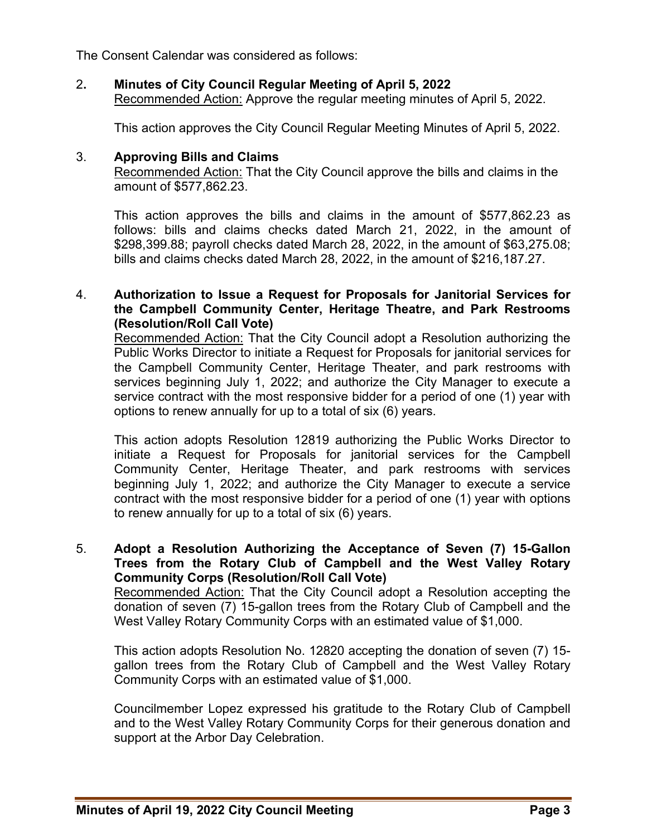The Consent Calendar was considered as follows:

# 2**. Minutes of City Council Regular Meeting of April 5, 2022**

Recommended Action: Approve the regular meeting minutes of April 5, 2022.

This action approves the City Council Regular Meeting Minutes of April 5, 2022.

#### 3. **Approving Bills and Claims**

Recommended Action: That the City Council approve the bills and claims in the amount of \$577,862.23.

This action approves the bills and claims in the amount of \$577,862.23 as follows: bills and claims checks dated March 21, 2022, in the amount of \$298,399.88; payroll checks dated March 28, 2022, in the amount of \$63,275.08; bills and claims checks dated March 28, 2022, in the amount of \$216,187.27.

#### 4. **Authorization to Issue a Request for Proposals for Janitorial Services for the Campbell Community Center, Heritage Theatre, and Park Restrooms (Resolution/Roll Call Vote)**

Recommended Action: That the City Council adopt a Resolution authorizing the Public Works Director to initiate a Request for Proposals for janitorial services for the Campbell Community Center, Heritage Theater, and park restrooms with services beginning July 1, 2022; and authorize the City Manager to execute a service contract with the most responsive bidder for a period of one (1) year with options to renew annually for up to a total of six (6) years.

This action adopts Resolution 12819 authorizing the Public Works Director to initiate a Request for Proposals for janitorial services for the Campbell Community Center, Heritage Theater, and park restrooms with services beginning July 1, 2022; and authorize the City Manager to execute a service contract with the most responsive bidder for a period of one (1) year with options to renew annually for up to a total of six (6) years.

5. **Adopt a Resolution Authorizing the Acceptance of Seven (7) 15-Gallon Trees from the Rotary Club of Campbell and the West Valley Rotary Community Corps (Resolution/Roll Call Vote)** 

Recommended Action: That the City Council adopt a Resolution accepting the donation of seven (7) 15-gallon trees from the Rotary Club of Campbell and the West Valley Rotary Community Corps with an estimated value of \$1,000.

This action adopts Resolution No. 12820 accepting the donation of seven (7) 15 gallon trees from the Rotary Club of Campbell and the West Valley Rotary Community Corps with an estimated value of \$1,000.

Councilmember Lopez expressed his gratitude to the Rotary Club of Campbell and to the West Valley Rotary Community Corps for their generous donation and support at the Arbor Day Celebration.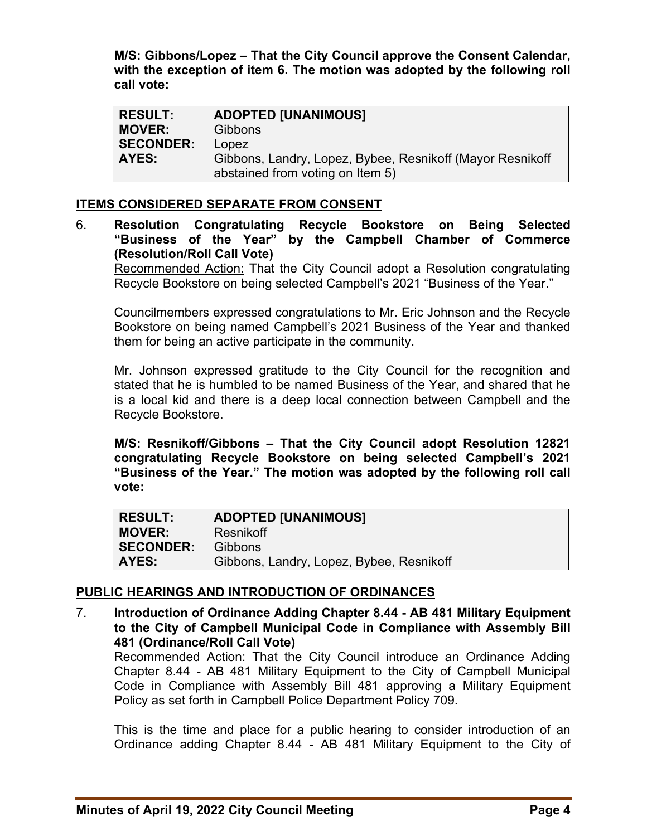**M/S: Gibbons/Lopez – That the City Council approve the Consent Calendar, with the exception of item 6. The motion was adopted by the following roll call vote:** 

| <b>RESULT:</b>   | <b>ADOPTED [UNANIMOUS]</b>                                |
|------------------|-----------------------------------------------------------|
| <b>MOVER:</b>    | Gibbons                                                   |
| <b>SECONDER:</b> | Lopez                                                     |
| AYES:            | Gibbons, Landry, Lopez, Bybee, Resnikoff (Mayor Resnikoff |
|                  | abstained from voting on Item 5)                          |

# **ITEMS CONSIDERED SEPARATE FROM CONSENT**

6. **Resolution Congratulating Recycle Bookstore on Being Selected "Business of the Year" by the Campbell Chamber of Commerce (Resolution/Roll Call Vote)** 

Recommended Action: That the City Council adopt a Resolution congratulating Recycle Bookstore on being selected Campbell's 2021 "Business of the Year."

Councilmembers expressed congratulations to Mr. Eric Johnson and the Recycle Bookstore on being named Campbell's 2021 Business of the Year and thanked them for being an active participate in the community.

Mr. Johnson expressed gratitude to the City Council for the recognition and stated that he is humbled to be named Business of the Year, and shared that he is a local kid and there is a deep local connection between Campbell and the Recycle Bookstore.

**M/S: Resnikoff/Gibbons – That the City Council adopt Resolution 12821 congratulating Recycle Bookstore on being selected Campbell's 2021 "Business of the Year." The motion was adopted by the following roll call vote:** 

| <b>RESULT:</b>   | <b>ADOPTED [UNANIMOUS]</b>               |
|------------------|------------------------------------------|
| <b>MOVER:</b>    | Resnikoff                                |
| <b>SECONDER:</b> | <b>Gibbons</b>                           |
| AYES:            | Gibbons, Landry, Lopez, Bybee, Resnikoff |

# **PUBLIC HEARINGS AND INTRODUCTION OF ORDINANCES**

7. **Introduction of Ordinance Adding Chapter 8.44 - AB 481 Military Equipment to the City of Campbell Municipal Code in Compliance with Assembly Bill 481 (Ordinance/Roll Call Vote)** 

Recommended Action: That the City Council introduce an Ordinance Adding Chapter 8.44 - AB 481 Military Equipment to the City of Campbell Municipal Code in Compliance with Assembly Bill 481 approving a Military Equipment Policy as set forth in Campbell Police Department Policy 709.

This is the time and place for a public hearing to consider introduction of an Ordinance adding Chapter 8.44 - AB 481 Military Equipment to the City of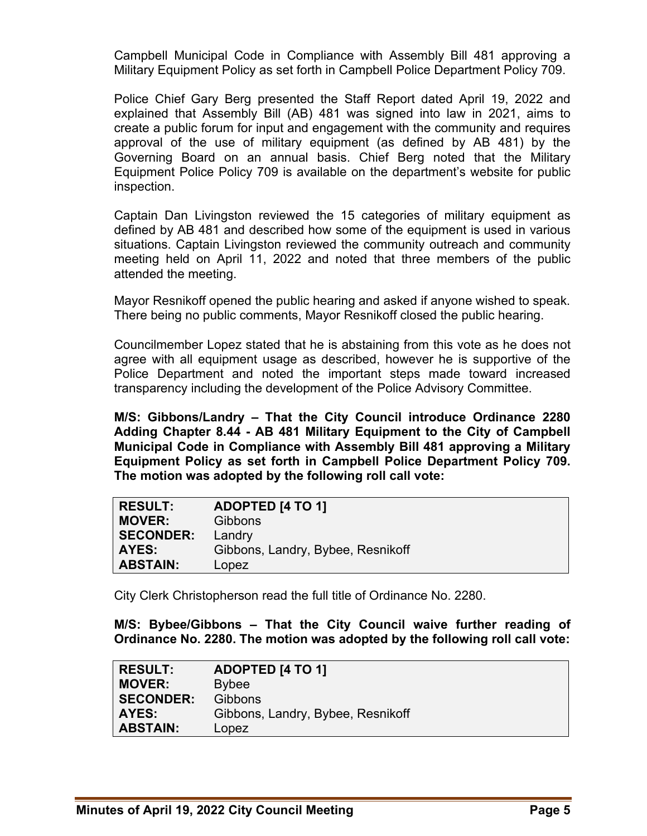Campbell Municipal Code in Compliance with Assembly Bill 481 approving a Military Equipment Policy as set forth in Campbell Police Department Policy 709.

Police Chief Gary Berg presented the Staff Report dated April 19, 2022 and explained that Assembly Bill (AB) 481 was signed into law in 2021, aims to create a public forum for input and engagement with the community and requires approval of the use of military equipment (as defined by AB 481) by the Governing Board on an annual basis. Chief Berg noted that the Military Equipment Police Policy 709 is available on the department's website for public inspection.

Captain Dan Livingston reviewed the 15 categories of military equipment as defined by AB 481 and described how some of the equipment is used in various situations. Captain Livingston reviewed the community outreach and community meeting held on April 11, 2022 and noted that three members of the public attended the meeting.

Mayor Resnikoff opened the public hearing and asked if anyone wished to speak. There being no public comments, Mayor Resnikoff closed the public hearing.

Councilmember Lopez stated that he is abstaining from this vote as he does not agree with all equipment usage as described, however he is supportive of the Police Department and noted the important steps made toward increased transparency including the development of the Police Advisory Committee.

**M/S: Gibbons/Landry – That the City Council introduce Ordinance 2280 Adding Chapter 8.44 - AB 481 Military Equipment to the City of Campbell Municipal Code in Compliance with Assembly Bill 481 approving a Military Equipment Policy as set forth in Campbell Police Department Policy 709. The motion was adopted by the following roll call vote:** 

| <b>RESULT:</b>   | <b>ADOPTED [4 TO 1]</b>           |
|------------------|-----------------------------------|
| <b>MOVER:</b>    | <b>Gibbons</b>                    |
| <b>SECONDER:</b> | Landry                            |
| AYES:            | Gibbons, Landry, Bybee, Resnikoff |
| <b>ABSTAIN:</b>  | Lopez                             |

City Clerk Christopherson read the full title of Ordinance No. 2280.

**M/S: Bybee/Gibbons – That the City Council waive further reading of Ordinance No. 2280. The motion was adopted by the following roll call vote:** 

| <b>RESULT:</b>   | <b>ADOPTED [4 TO 1]</b>           |
|------------------|-----------------------------------|
| <b>MOVER:</b>    | <b>Bybee</b>                      |
| <b>SECONDER:</b> | <b>Gibbons</b>                    |
| <b>AYES:</b>     | Gibbons, Landry, Bybee, Resnikoff |
| <b>ABSTAIN:</b>  | Lopez                             |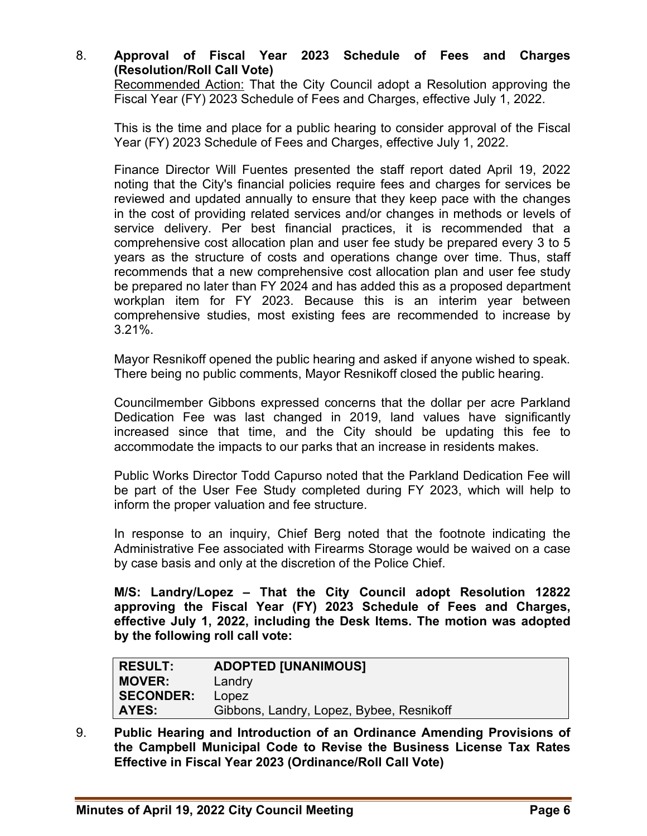# 8. **Approval of Fiscal Year 2023 Schedule of Fees and Charges (Resolution/Roll Call Vote)**

Recommended Action: That the City Council adopt a Resolution approving the Fiscal Year (FY) 2023 Schedule of Fees and Charges, effective July 1, 2022.

This is the time and place for a public hearing to consider approval of the Fiscal Year (FY) 2023 Schedule of Fees and Charges, effective July 1, 2022.

Finance Director Will Fuentes presented the staff report dated April 19, 2022 noting that the City's financial policies require fees and charges for services be reviewed and updated annually to ensure that they keep pace with the changes in the cost of providing related services and/or changes in methods or levels of service delivery. Per best financial practices, it is recommended that a comprehensive cost allocation plan and user fee study be prepared every 3 to 5 years as the structure of costs and operations change over time. Thus, staff recommends that a new comprehensive cost allocation plan and user fee study be prepared no later than FY 2024 and has added this as a proposed department workplan item for FY 2023. Because this is an interim year between comprehensive studies, most existing fees are recommended to increase by 3.21%.

Mayor Resnikoff opened the public hearing and asked if anyone wished to speak. There being no public comments, Mayor Resnikoff closed the public hearing.

Councilmember Gibbons expressed concerns that the dollar per acre Parkland Dedication Fee was last changed in 2019, land values have significantly increased since that time, and the City should be updating this fee to accommodate the impacts to our parks that an increase in residents makes.

Public Works Director Todd Capurso noted that the Parkland Dedication Fee will be part of the User Fee Study completed during FY 2023, which will help to inform the proper valuation and fee structure.

In response to an inquiry, Chief Berg noted that the footnote indicating the Administrative Fee associated with Firearms Storage would be waived on a case by case basis and only at the discretion of the Police Chief.

**M/S: Landry/Lopez – That the City Council adopt Resolution 12822 approving the Fiscal Year (FY) 2023 Schedule of Fees and Charges, effective July 1, 2022, including the Desk Items. The motion was adopted by the following roll call vote:** 

| RESULT:          | <b>ADOPTED [UNANIMOUS]</b>               |
|------------------|------------------------------------------|
| <b>MOVER:</b>    | Landry                                   |
| <b>SECONDER:</b> | Lopez                                    |
| AYES:            | Gibbons, Landry, Lopez, Bybee, Resnikoff |

9. **Public Hearing and Introduction of an Ordinance Amending Provisions of the Campbell Municipal Code to Revise the Business License Tax Rates Effective in Fiscal Year 2023 (Ordinance/Roll Call Vote)**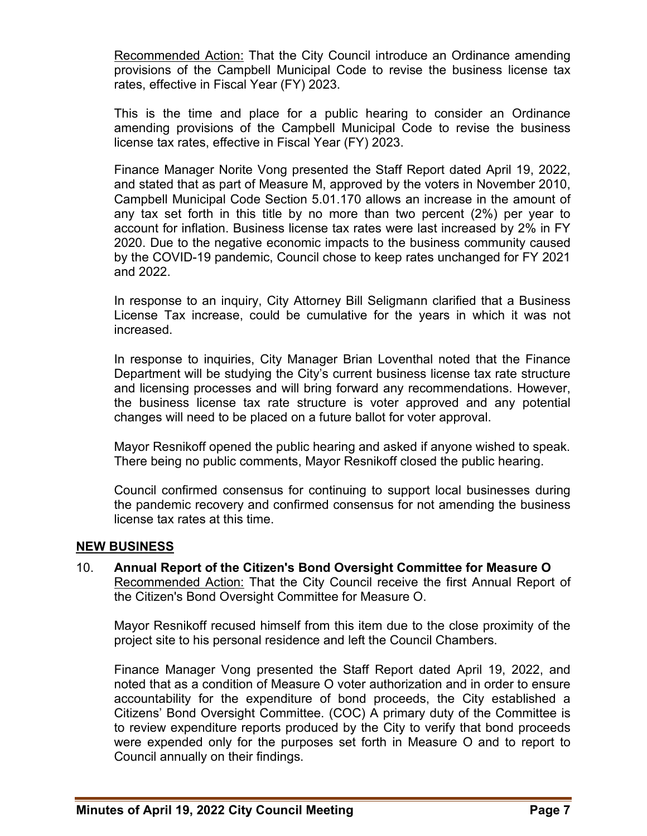Recommended Action: That the City Council introduce an Ordinance amending provisions of the Campbell Municipal Code to revise the business license tax rates, effective in Fiscal Year (FY) 2023.

This is the time and place for a public hearing to consider an Ordinance amending provisions of the Campbell Municipal Code to revise the business license tax rates, effective in Fiscal Year (FY) 2023.

Finance Manager Norite Vong presented the Staff Report dated April 19, 2022, and stated that as part of Measure M, approved by the voters in November 2010, Campbell Municipal Code Section 5.01.170 allows an increase in the amount of any tax set forth in this title by no more than two percent (2%) per year to account for inflation. Business license tax rates were last increased by 2% in FY 2020. Due to the negative economic impacts to the business community caused by the COVID-19 pandemic, Council chose to keep rates unchanged for FY 2021 and 2022.

In response to an inquiry, City Attorney Bill Seligmann clarified that a Business License Tax increase, could be cumulative for the years in which it was not increased.

In response to inquiries, City Manager Brian Loventhal noted that the Finance Department will be studying the City's current business license tax rate structure and licensing processes and will bring forward any recommendations. However, the business license tax rate structure is voter approved and any potential changes will need to be placed on a future ballot for voter approval.

Mayor Resnikoff opened the public hearing and asked if anyone wished to speak. There being no public comments, Mayor Resnikoff closed the public hearing.

Council confirmed consensus for continuing to support local businesses during the pandemic recovery and confirmed consensus for not amending the business license tax rates at this time.

#### **NEW BUSINESS**

10. **Annual Report of the Citizen's Bond Oversight Committee for Measure O**  Recommended Action: That the City Council receive the first Annual Report of the Citizen's Bond Oversight Committee for Measure O.

Mayor Resnikoff recused himself from this item due to the close proximity of the project site to his personal residence and left the Council Chambers.

Finance Manager Vong presented the Staff Report dated April 19, 2022, and noted that as a condition of Measure O voter authorization and in order to ensure accountability for the expenditure of bond proceeds, the City established a Citizens' Bond Oversight Committee. (COC) A primary duty of the Committee is to review expenditure reports produced by the City to verify that bond proceeds were expended only for the purposes set forth in Measure O and to report to Council annually on their findings.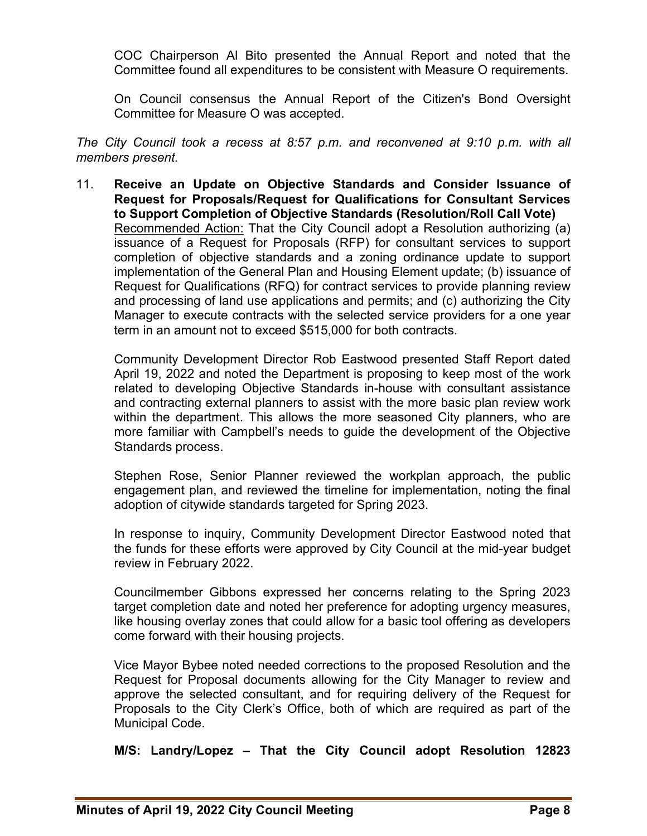COC Chairperson Al Bito presented the Annual Report and noted that the Committee found all expenditures to be consistent with Measure O requirements.

On Council consensus the Annual Report of the Citizen's Bond Oversight Committee for Measure O was accepted.

*The City Council took a recess at 8:57 p.m. and reconvened at 9:10 p.m. with all members present.*

11. **Receive an Update on Objective Standards and Consider Issuance of Request for Proposals/Request for Qualifications for Consultant Services to Support Completion of Objective Standards (Resolution/Roll Call Vote)**  Recommended Action: That the City Council adopt a Resolution authorizing (a) issuance of a Request for Proposals (RFP) for consultant services to support completion of objective standards and a zoning ordinance update to support implementation of the General Plan and Housing Element update; (b) issuance of Request for Qualifications (RFQ) for contract services to provide planning review and processing of land use applications and permits; and (c) authorizing the City Manager to execute contracts with the selected service providers for a one year term in an amount not to exceed \$515,000 for both contracts.

Community Development Director Rob Eastwood presented Staff Report dated April 19, 2022 and noted the Department is proposing to keep most of the work related to developing Objective Standards in-house with consultant assistance and contracting external planners to assist with the more basic plan review work within the department. This allows the more seasoned City planners, who are more familiar with Campbell's needs to guide the development of the Objective Standards process.

Stephen Rose, Senior Planner reviewed the workplan approach, the public engagement plan, and reviewed the timeline for implementation, noting the final adoption of citywide standards targeted for Spring 2023.

In response to inquiry, Community Development Director Eastwood noted that the funds for these efforts were approved by City Council at the mid-year budget review in February 2022.

Councilmember Gibbons expressed her concerns relating to the Spring 2023 target completion date and noted her preference for adopting urgency measures, like housing overlay zones that could allow for a basic tool offering as developers come forward with their housing projects.

Vice Mayor Bybee noted needed corrections to the proposed Resolution and the Request for Proposal documents allowing for the City Manager to review and approve the selected consultant, and for requiring delivery of the Request for Proposals to the City Clerk's Office, both of which are required as part of the Municipal Code.

**M/S: Landry/Lopez – That the City Council adopt Resolution 12823**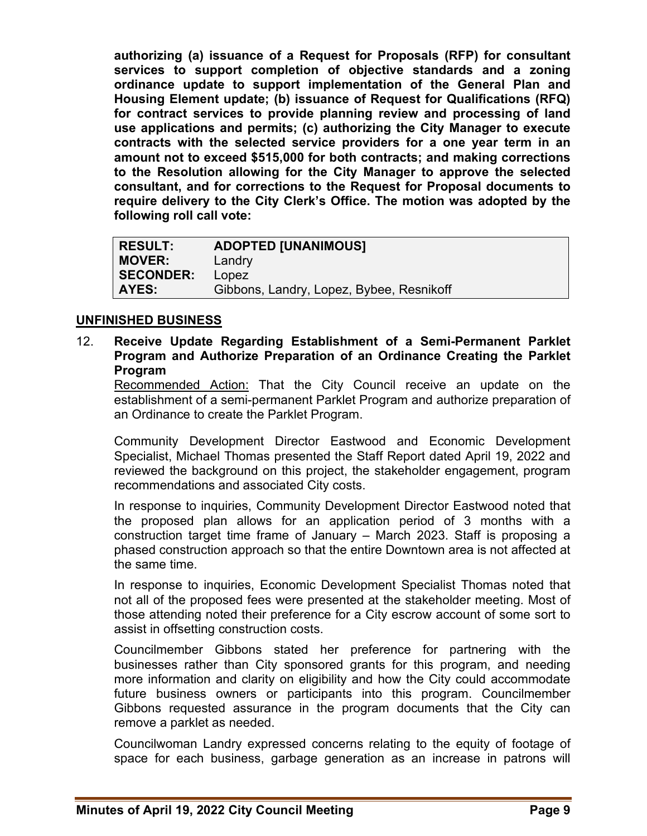**authorizing (a) issuance of a Request for Proposals (RFP) for consultant services to support completion of objective standards and a zoning ordinance update to support implementation of the General Plan and Housing Element update; (b) issuance of Request for Qualifications (RFQ) for contract services to provide planning review and processing of land use applications and permits; (c) authorizing the City Manager to execute contracts with the selected service providers for a one year term in an amount not to exceed \$515,000 for both contracts; and making corrections to the Resolution allowing for the City Manager to approve the selected consultant, and for corrections to the Request for Proposal documents to require delivery to the City Clerk's Office. The motion was adopted by the following roll call vote:** 

| <b>RESULT:</b>   | <b>ADOPTED [UNANIMOUS]</b>               |
|------------------|------------------------------------------|
| <b>MOVER:</b>    | Landry                                   |
| <b>SECONDER:</b> | Lopez                                    |
| <b>AYES:</b>     | Gibbons, Landry, Lopez, Bybee, Resnikoff |

# **UNFINISHED BUSINESS**

#### 12. **Receive Update Regarding Establishment of a Semi-Permanent Parklet Program and Authorize Preparation of an Ordinance Creating the Parklet Program**

Recommended Action: That the City Council receive an update on the establishment of a semi-permanent Parklet Program and authorize preparation of an Ordinance to create the Parklet Program.

Community Development Director Eastwood and Economic Development Specialist, Michael Thomas presented the Staff Report dated April 19, 2022 and reviewed the background on this project, the stakeholder engagement, program recommendations and associated City costs.

In response to inquiries, Community Development Director Eastwood noted that the proposed plan allows for an application period of 3 months with a construction target time frame of January – March 2023. Staff is proposing a phased construction approach so that the entire Downtown area is not affected at the same time.

In response to inquiries, Economic Development Specialist Thomas noted that not all of the proposed fees were presented at the stakeholder meeting. Most of those attending noted their preference for a City escrow account of some sort to assist in offsetting construction costs.

Councilmember Gibbons stated her preference for partnering with the businesses rather than City sponsored grants for this program, and needing more information and clarity on eligibility and how the City could accommodate future business owners or participants into this program. Councilmember Gibbons requested assurance in the program documents that the City can remove a parklet as needed.

Councilwoman Landry expressed concerns relating to the equity of footage of space for each business, garbage generation as an increase in patrons will